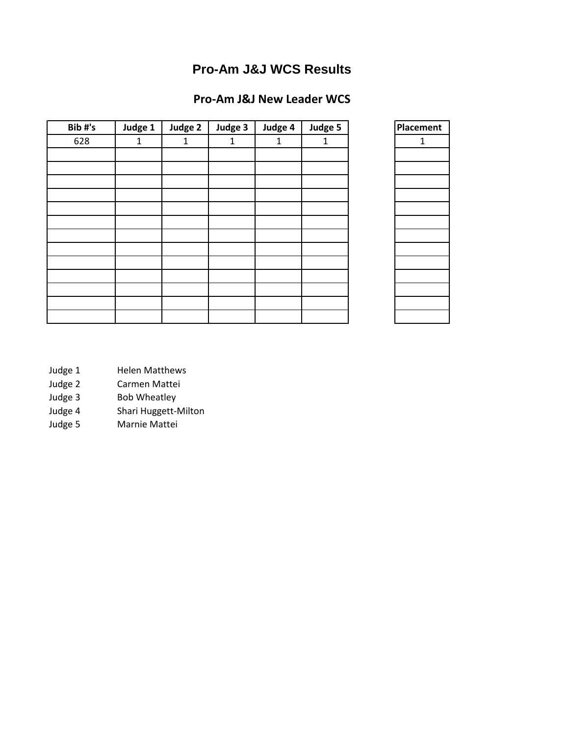# **Pro-Am J&J WCS Results**

# **Pro-Am J&J New Leader WCS**

| Bib#'s | Judge 1      | Judge 2      | Judge 3 | Judge 4      | Judge 5      | Placement    |
|--------|--------------|--------------|---------|--------------|--------------|--------------|
| 628    | $\mathbf{1}$ | $\mathbf{1}$ | 1       | $\mathbf{1}$ | $\mathbf{1}$ | $\mathbf{1}$ |
|        |              |              |         |              |              |              |
|        |              |              |         |              |              |              |
|        |              |              |         |              |              |              |
|        |              |              |         |              |              |              |
|        |              |              |         |              |              |              |
|        |              |              |         |              |              |              |
|        |              |              |         |              |              |              |
|        |              |              |         |              |              |              |
|        |              |              |         |              |              |              |
|        |              |              |         |              |              |              |
|        |              |              |         |              |              |              |
|        |              |              |         |              |              |              |
|        |              |              |         |              |              |              |

- Judge 1 Helen Matthews
- Judge 2 Carmen Mattei
- Judge 3 Bob Wheatley
- Judge 4 Shari Huggett-Milton
- Judge 5 Marnie Mattei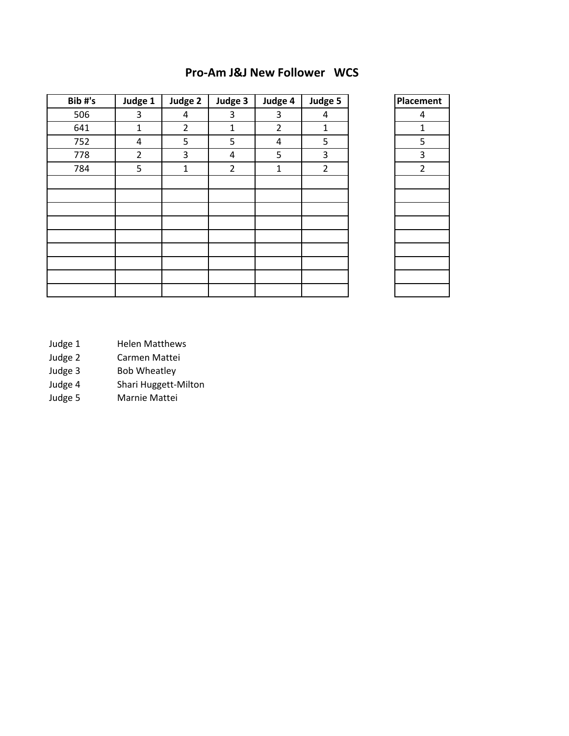| Bib#'s | Judge 1        | Judge 2        | Judge 3        | Judge 4        | Judge 5        |  |
|--------|----------------|----------------|----------------|----------------|----------------|--|
| 506    | 3              | 4              | 3              | 3              | 4              |  |
| 641    | $\mathbf{1}$   | $\overline{2}$ | $\mathbf{1}$   | $\overline{2}$ | $\mathbf{1}$   |  |
| 752    | 4              | 5              | 5              | 4              | 5              |  |
| 778    | $\overline{2}$ | 3              | 4              | 5              | 3              |  |
| 784    | 5              | $\mathbf{1}$   | $\overline{2}$ | $\mathbf{1}$   | $\overline{2}$ |  |
|        |                |                |                |                |                |  |
|        |                |                |                |                |                |  |
|        |                |                |                |                |                |  |
|        |                |                |                |                |                |  |
|        |                |                |                |                |                |  |
|        |                |                |                |                |                |  |
|        |                |                |                |                |                |  |
|        |                |                |                |                |                |  |
|        |                |                |                |                |                |  |

#### **Pro-Am J&J New Follower WCS**

| Placement               |
|-------------------------|
| 4                       |
| 1                       |
| $\overline{5}$          |
| $\overline{\mathbf{3}}$ |
| $\frac{1}{2}$           |
|                         |
|                         |
|                         |
|                         |
|                         |
|                         |
|                         |
|                         |
|                         |
|                         |

- Judge 1 Helen Matthews
- 
- Judge 2 Carmen Mattei<br>Judge 3 Bob Wheatley Bob Wheatley
- Judge 4 Shari Huggett-Milton
- Judge 5 Marnie Mattei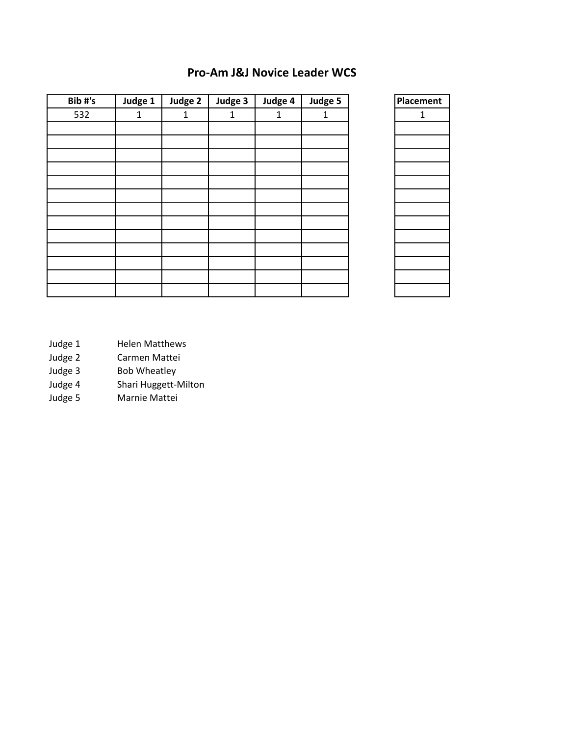## **Pro-Am J&J Novice Leader WCS**

| Bib#'s | Judge 1      | Judge 2 | Judge 3 | Judge 4      | Judge 5      |
|--------|--------------|---------|---------|--------------|--------------|
| 532    | $\mathbf{1}$ | 1       | 1       | $\mathbf{1}$ | $\mathbf{1}$ |
|        |              |         |         |              |              |
|        |              |         |         |              |              |
|        |              |         |         |              |              |
|        |              |         |         |              |              |
|        |              |         |         |              |              |
|        |              |         |         |              |              |
|        |              |         |         |              |              |
|        |              |         |         |              |              |
|        |              |         |         |              |              |
|        |              |         |         |              |              |
|        |              |         |         |              |              |
|        |              |         |         |              |              |
|        |              |         |         |              |              |

| Placement      |
|----------------|
| $\overline{1}$ |
|                |
|                |
|                |
|                |
|                |
|                |
|                |
|                |
|                |
|                |
|                |
|                |
|                |

- Judge 1 Helen Matthews
	-
- Judge 2 Carmen Mattei<br>Judge 3 Bob Wheatley Bob Wheatley
- Judge 4 Shari Huggett-Milton
- Judge 5 Marnie Mattei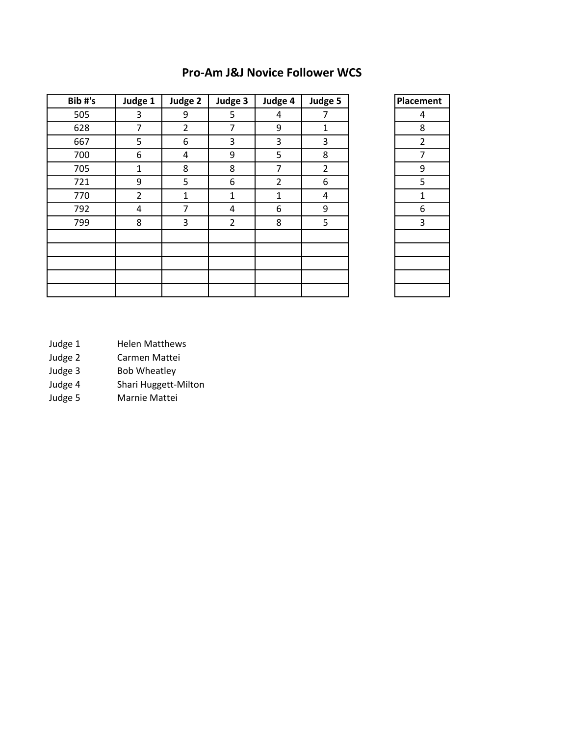| Bib#'s | Judge 1        | Judge 2        | Judge 3        | Judge 4        | Judge 5        | Placement      |
|--------|----------------|----------------|----------------|----------------|----------------|----------------|
| 505    | 3              | 9              | 5              | 4              | $\overline{7}$ | 4              |
| 628    | 7              | $\overline{2}$ | 7              | 9              | $\mathbf{1}$   | 8              |
| 667    | 5              | 6              | 3              | 3              | 3              | $\overline{2}$ |
| 700    | 6              | 4              | 9              | 5              | 8              | $\overline{7}$ |
| 705    | 1              | 8              | 8              | 7              | $\overline{2}$ | 9              |
| 721    | 9              | 5              | 6              | $\overline{2}$ | 6              | 5              |
| 770    | $\overline{2}$ | $\mathbf{1}$   | $\mathbf{1}$   | 1              | 4              | 1              |
| 792    | 4              | 7              | 4              | 6              | 9              | 6              |
| 799    | 8              | 3              | $\overline{2}$ | 8              | 5              | 3              |
|        |                |                |                |                |                |                |
|        |                |                |                |                |                |                |
|        |                |                |                |                |                |                |
|        |                |                |                |                |                |                |
|        |                |                |                |                |                |                |

## **Pro-Am J&J Novice Follower WCS**

| Placement    |
|--------------|
| 4            |
| 8            |
| $rac{2}{7}$  |
|              |
| 9            |
| 5            |
| $\mathbf{1}$ |
| 6            |
| 3            |
|              |
|              |
|              |
|              |
|              |
|              |

- Judge 1 Helen Matthews
- 
- Judge 2 Carmen Mattei<br>Judge 3 Bob Wheatley Bob Wheatley
- Judge 4 Shari Huggett-Milton
- Judge 5 Marnie Mattei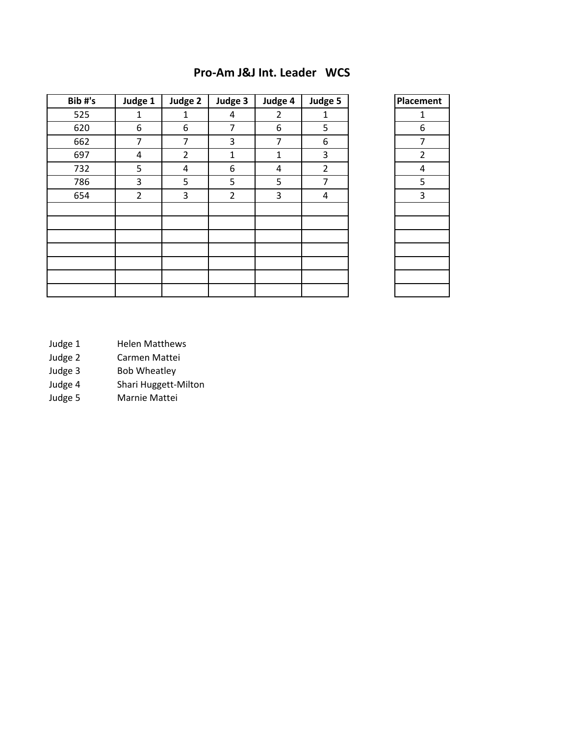| Bib#'s | Judge 1        | Judge 2        | Judge 3        | Judge 4        | Judge 5        |  |
|--------|----------------|----------------|----------------|----------------|----------------|--|
| 525    | $\mathbf{1}$   | $\mathbf{1}$   | 4              | $\overline{2}$ | $\mathbf{1}$   |  |
| 620    | 6              | 6              | 7              | 6              | 5              |  |
| 662    | 7              | 7              | 3              | 7              | 6              |  |
| 697    | 4              | $\overline{2}$ | $\mathbf{1}$   | 1              | 3              |  |
| 732    | 5              | 4              | 6              | 4              | $\overline{2}$ |  |
| 786    | 3              | 5              | 5              | 5              | $\overline{7}$ |  |
| 654    | $\overline{2}$ | 3              | $\overline{2}$ | 3              | 4              |  |
|        |                |                |                |                |                |  |
|        |                |                |                |                |                |  |
|        |                |                |                |                |                |  |
|        |                |                |                |                |                |  |
|        |                |                |                |                |                |  |
|        |                |                |                |                |                |  |
|        |                |                |                |                |                |  |

#### **Pro-Am J&J Int. Leader WCS**

| Placement      |
|----------------|
| 1              |
| 6              |
| 7              |
| $\overline{2}$ |
| $\overline{4}$ |
| $\overline{5}$ |
| .<br>З         |
|                |
|                |
|                |
|                |
|                |
|                |
|                |
|                |

- Judge 1 Helen Matthews
- 
- Judge 2 Carmen Mattei<br>Judge 3 Bob Wheatley Bob Wheatley
- Judge 4 Shari Huggett-Milton
- Judge 5 Marnie Mattei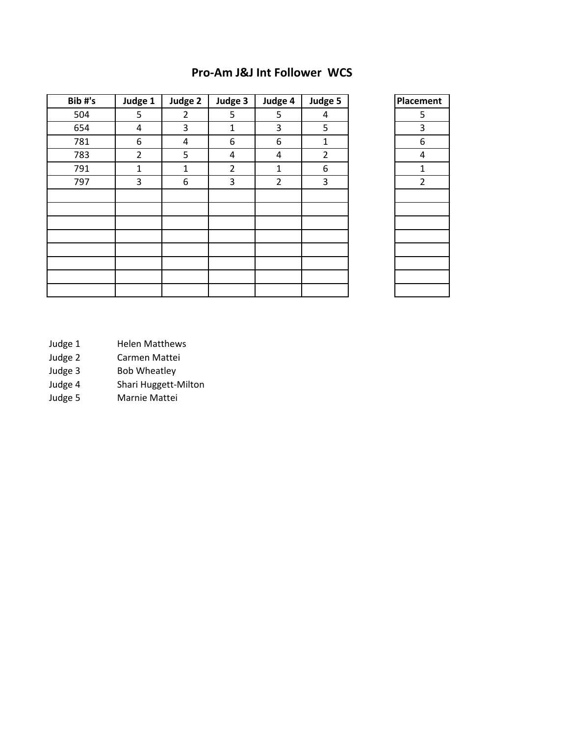| Bib#'s | Judge 1        | Judge 2        | Judge 3        | Judge 4        | Judge 5        | Placement      |
|--------|----------------|----------------|----------------|----------------|----------------|----------------|
| 504    | 5              | $\overline{2}$ | 5              | 5              | 4              | 5              |
| 654    | 4              | 3              | 1              | 3              | 5              | 3              |
| 781    | 6              | 4              | 6              | 6              | 1              | 6              |
| 783    | $\overline{2}$ | 5              | 4              | 4              | $\overline{2}$ | 4              |
| 791    | 1              | $\mathbf{1}$   | $\overline{2}$ | $\mathbf{1}$   | 6              | 1              |
| 797    | 3              | 6              | 3              | $\overline{2}$ | 3              | $\overline{2}$ |
|        |                |                |                |                |                |                |
|        |                |                |                |                |                |                |
|        |                |                |                |                |                |                |
|        |                |                |                |                |                |                |
|        |                |                |                |                |                |                |
|        |                |                |                |                |                |                |
|        |                |                |                |                |                |                |
|        |                |                |                |                |                |                |

## **Pro-Am J&J Int Follower WCS**

| Placement      |
|----------------|
| 5              |
| 3              |
| 6              |
| 4              |
| $\mathbf{1}$   |
| $\overline{2}$ |
|                |
|                |
|                |
|                |
|                |
|                |
|                |
|                |
|                |

- Judge 1 Helen Matthews
- 
- Judge 2 Carmen Mattei<br>Judge 3 Bob Wheatley Bob Wheatley
- Judge 4 Shari Huggett-Milton
- Judge 5 Marnie Mattei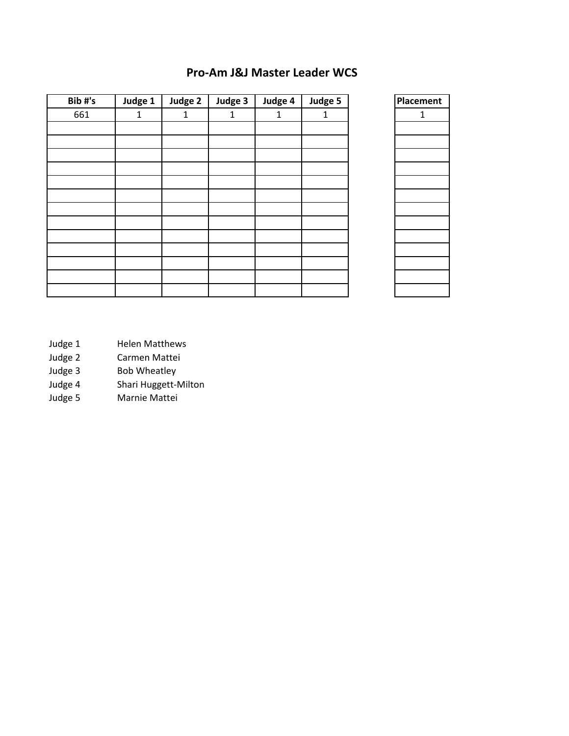## **Pro-Am J&J Master Leader WCS**

| Placement | Judge 5      | Judge 4      | Judge 3 | Judge 2      | Judge 1      | Bib#'s |
|-----------|--------------|--------------|---------|--------------|--------------|--------|
| 1         | $\mathbf{1}$ | $\mathbf{1}$ | 1       | $\mathbf{1}$ | $\mathbf{1}$ | 661    |
|           |              |              |         |              |              |        |
|           |              |              |         |              |              |        |
|           |              |              |         |              |              |        |
|           |              |              |         |              |              |        |
|           |              |              |         |              |              |        |
|           |              |              |         |              |              |        |
|           |              |              |         |              |              |        |
|           |              |              |         |              |              |        |
|           |              |              |         |              |              |        |
|           |              |              |         |              |              |        |
|           |              |              |         |              |              |        |
|           |              |              |         |              |              |        |
|           |              |              |         |              |              |        |

| Placement |
|-----------|
| 1         |
|           |
|           |
|           |
|           |
|           |
|           |
|           |
|           |
|           |
|           |
|           |
|           |
|           |

- Judge 1 Helen Matthews
	-
- Judge 2 Carmen Mattei<br>Judge 3 Bob Wheatley Bob Wheatley
- Judge 4 Shari Huggett-Milton
- Judge 5 Marnie Mattei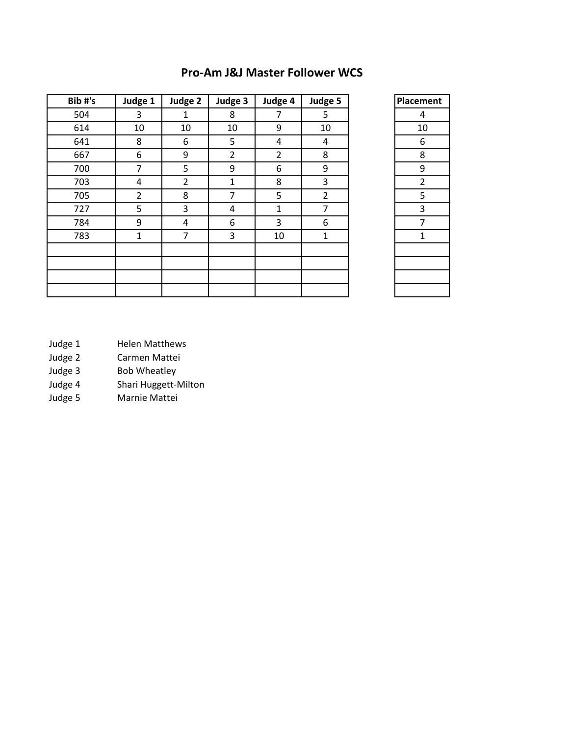| <b>Pro-Am J&amp;J Master Follower WCS</b> |  |  |  |
|-------------------------------------------|--|--|--|
|-------------------------------------------|--|--|--|

| Bib#'s | Judge 1        | Judge 2        | Judge 3 | Judge 4        | Judge 5        | Placement |
|--------|----------------|----------------|---------|----------------|----------------|-----------|
| 504    | 3              | $\mathbf{1}$   | 8       | 7              | 5              | 4         |
| 614    | 10             | 10             | 10      | 9              | 10             | 10        |
| 641    | 8              | 6              | 5       | 4              | 4              | 6         |
| 667    | 6              | 9              | 2       | $\overline{2}$ | 8              | 8         |
| 700    | $\overline{7}$ | 5              | 9       | 6              | 9              | 9         |
| 703    | 4              | $\overline{2}$ | 1       | 8              | 3              | 2         |
| 705    | $\overline{2}$ | 8              | 7       | 5              | $\overline{2}$ | 5         |
| 727    | 5              | 3              | 4       | $\mathbf{1}$   | 7              | 3         |
| 784    | 9              | 4              | 6       | 3              | 6              | 7         |
| 783    | 1              | $\overline{7}$ | 3       | 10             | $\mathbf{1}$   | 1         |
|        |                |                |         |                |                |           |
|        |                |                |         |                |                |           |
|        |                |                |         |                |                |           |
|        |                |                |         |                |                |           |

| Placement               |
|-------------------------|
| 4                       |
| 10                      |
| 6                       |
| 8                       |
| 9                       |
| $\overline{\mathbf{c}}$ |
| 5                       |
| 3                       |
| 7                       |
| $\overline{1}$          |
|                         |
|                         |
|                         |
|                         |

- Judge 1 Helen Matthews
- Judge 2 Carmen Mattei<br>Judge 3 Bob Wheatley
- 
- Judge 3 Bob Wheatley<br>Judge 4 Shari Huggett-Judge 4 Shari Huggett-Milton<br>Judge 5 Marnie Mattei
- Marnie Mattei